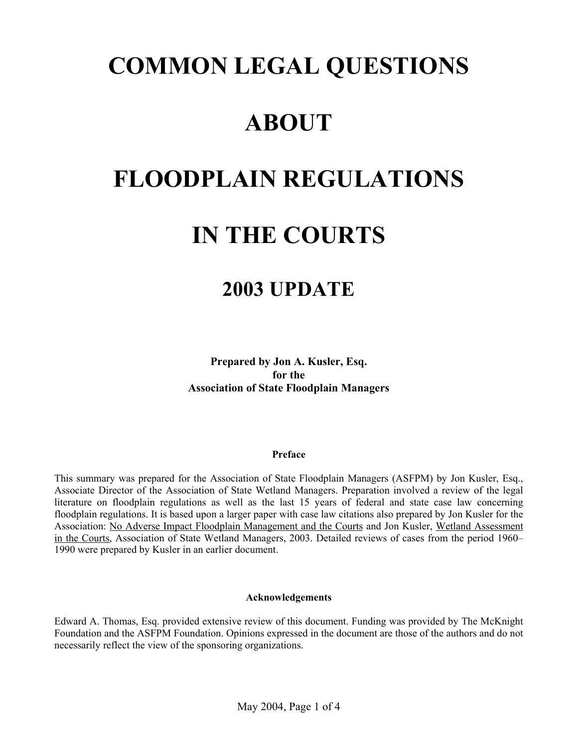# **COMMON LEGAL QUESTIONS**

### **ABOUT**

## **FLOODPLAIN REGULATIONS**

## **IN THE COURTS**

### **2003 UPDATE**

**Prepared by Jon A. Kusler, Esq. for the Association of State Floodplain Managers**

#### **Preface**

This summary was prepared for the Association of State Floodplain Managers (ASFPM) by Jon Kusler, Esq., Associate Director of the Association of State Wetland Managers. Preparation involved a review of the legal literature on floodplain regulations as well as the last 15 years of federal and state case law concerning floodplain regulations. It is based upon a larger paper with case law citations also prepared by Jon Kusler for the Association: No Adverse Impact Floodplain Management and the Courts and Jon Kusler, Wetland Assessment in the Courts, Association of State Wetland Managers, 2003. Detailed reviews of cases from the period 1960– 1990 were prepared by Kusler in an earlier document.

#### **Acknowledgements**

Edward A. Thomas, Esq. provided extensive review of this document. Funding was provided by The McKnight Foundation and the ASFPM Foundation. Opinions expressed in the document are those of the authors and do not necessarily reflect the view of the sponsoring organizations.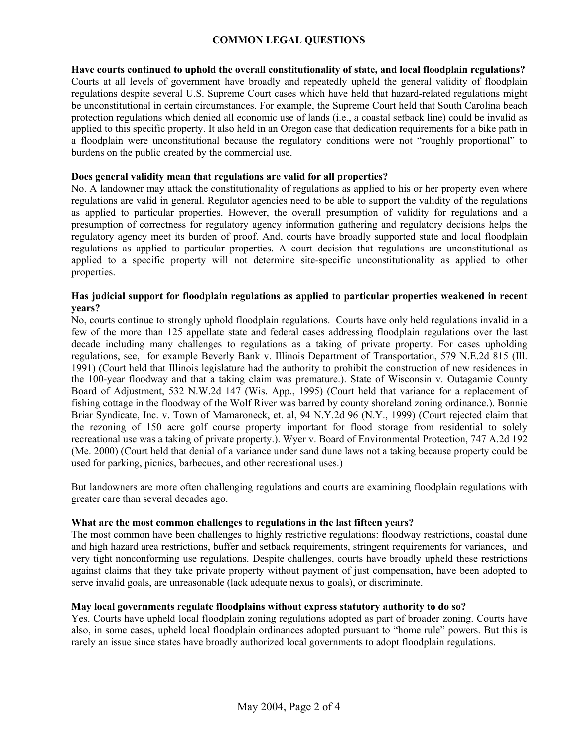#### **COMMON LEGAL QUESTIONS**

#### **Have courts continued to uphold the overall constitutionality of state, and local floodplain regulations?**

Courts at all levels of government have broadly and repeatedly upheld the general validity of floodplain regulations despite several U.S. Supreme Court cases which have held that hazard-related regulations might be unconstitutional in certain circumstances. For example, the Supreme Court held that South Carolina beach protection regulations which denied all economic use of lands (i.e., a coastal setback line) could be invalid as applied to this specific property. It also held in an Oregon case that dedication requirements for a bike path in a floodplain were unconstitutional because the regulatory conditions were not "roughly proportional" to burdens on the public created by the commercial use.

#### **Does general validity mean that regulations are valid for all properties?**

No. A landowner may attack the constitutionality of regulations as applied to his or her property even where regulations are valid in general. Regulator agencies need to be able to support the validity of the regulations as applied to particular properties. However, the overall presumption of validity for regulations and a presumption of correctness for regulatory agency information gathering and regulatory decisions helps the regulatory agency meet its burden of proof. And, courts have broadly supported state and local floodplain regulations as applied to particular properties. A court decision that regulations are unconstitutional as applied to a specific property will not determine site-specific unconstitutionality as applied to other properties.

#### **Has judicial support for floodplain regulations as applied to particular properties weakened in recent years?**

No, courts continue to strongly uphold floodplain regulations. Courts have only held regulations invalid in a few of the more than 125 appellate state and federal cases addressing floodplain regulations over the last decade including many challenges to regulations as a taking of private property. For cases upholding regulations, see, for example Beverly Bank v. Illinois Department of Transportation, 579 N.E.2d 815 (Ill. 1991) (Court held that Illinois legislature had the authority to prohibit the construction of new residences in the 100-year floodway and that a taking claim was premature.). State of Wisconsin v. Outagamie County Board of Adjustment, 532 N.W.2d 147 (Wis. App., 1995) (Court held that variance for a replacement of fishing cottage in the floodway of the Wolf River was barred by county shoreland zoning ordinance.). Bonnie Briar Syndicate, Inc. v. Town of Mamaroneck, et. al, 94 N.Y.2d 96 (N.Y., 1999) (Court rejected claim that the rezoning of 150 acre golf course property important for flood storage from residential to solely recreational use was a taking of private property.). Wyer v. Board of Environmental Protection, 747 A.2d 192 (Me. 2000) (Court held that denial of a variance under sand dune laws not a taking because property could be used for parking, picnics, barbecues, and other recreational uses.)

But landowners are more often challenging regulations and courts are examining floodplain regulations with greater care than several decades ago.

#### **What are the most common challenges to regulations in the last fifteen years?**

The most common have been challenges to highly restrictive regulations: floodway restrictions, coastal dune and high hazard area restrictions, buffer and setback requirements, stringent requirements for variances, and very tight nonconforming use regulations. Despite challenges, courts have broadly upheld these restrictions against claims that they take private property without payment of just compensation, have been adopted to serve invalid goals, are unreasonable (lack adequate nexus to goals), or discriminate.

#### **May local governments regulate floodplains without express statutory authority to do so?**

Yes. Courts have upheld local floodplain zoning regulations adopted as part of broader zoning. Courts have also, in some cases, upheld local floodplain ordinances adopted pursuant to "home rule" powers. But this is rarely an issue since states have broadly authorized local governments to adopt floodplain regulations.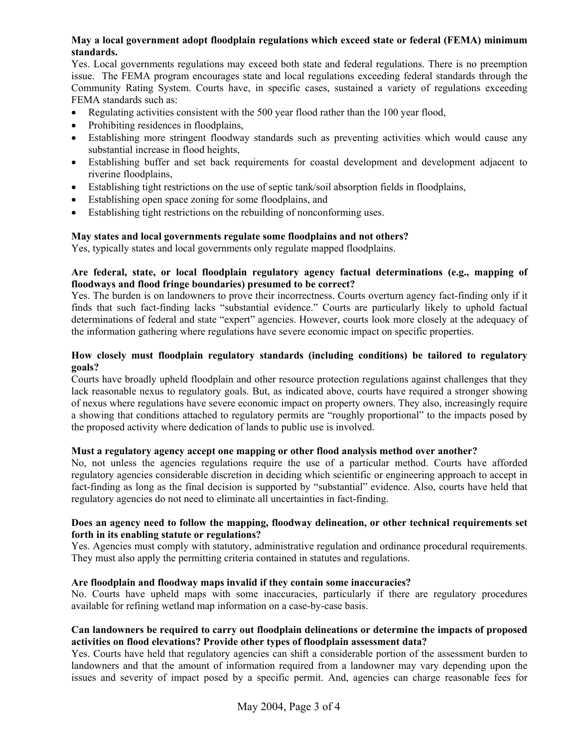#### **May a local government adopt floodplain regulations which exceed state or federal (FEMA) minimum standards.**

Yes. Local governments regulations may exceed both state and federal regulations. There is no preemption issue. The FEMA program encourages state and local regulations exceeding federal standards through the Community Rating System. Courts have, in specific cases, sustained a variety of regulations exceeding FEMA standards such as:

- Regulating activities consistent with the 500 year flood rather than the 100 year flood,
- Prohibiting residences in floodplains,
- Establishing more stringent floodway standards such as preventing activities which would cause any substantial increase in flood heights,
- Establishing buffer and set back requirements for coastal development and development adjacent to riverine floodplains,
- Establishing tight restrictions on the use of septic tank/soil absorption fields in floodplains,
- Establishing open space zoning for some floodplains, and
- Establishing tight restrictions on the rebuilding of nonconforming uses.

#### **May states and local governments regulate some floodplains and not others?**

Yes, typically states and local governments only regulate mapped floodplains.

#### **Are federal, state, or local floodplain regulatory agency factual determinations (e.g., mapping of floodways and flood fringe boundaries) presumed to be correct?**

Yes. The burden is on landowners to prove their incorrectness. Courts overturn agency fact-finding only if it finds that such fact-finding lacks "substantial evidence." Courts are particularly likely to uphold factual determinations of federal and state "expert" agencies. However, courts look more closely at the adequacy of the information gathering where regulations have severe economic impact on specific properties.

#### **How closely must floodplain regulatory standards (including conditions) be tailored to regulatory goals?**

Courts have broadly upheld floodplain and other resource protection regulations against challenges that they lack reasonable nexus to regulatory goals. But, as indicated above, courts have required a stronger showing of nexus where regulations have severe economic impact on property owners. They also, increasingly require a showing that conditions attached to regulatory permits are "roughly proportional" to the impacts posed by the proposed activity where dedication of lands to public use is involved.

#### **Must a regulatory agency accept one mapping or other flood analysis method over another?**

No, not unless the agencies regulations require the use of a particular method. Courts have afforded regulatory agencies considerable discretion in deciding which scientific or engineering approach to accept in fact-finding as long as the final decision is supported by "substantial" evidence. Also, courts have held that regulatory agencies do not need to eliminate all uncertainties in fact-finding.

#### **Does an agency need to follow the mapping, floodway delineation, or other technical requirements set forth in its enabling statute or regulations?**

Yes. Agencies must comply with statutory, administrative regulation and ordinance procedural requirements. They must also apply the permitting criteria contained in statutes and regulations.

#### **Are floodplain and floodway maps invalid if they contain some inaccuracies?**

No. Courts have upheld maps with some inaccuracies, particularly if there are regulatory procedures available for refining wetland map information on a case-by-case basis.

#### **Can landowners be required to carry out floodplain delineations or determine the impacts of proposed activities on flood elevations? Provide other types of floodplain assessment data?**

Yes. Courts have held that regulatory agencies can shift a considerable portion of the assessment burden to landowners and that the amount of information required from a landowner may vary depending upon the issues and severity of impact posed by a specific permit. And, agencies can charge reasonable fees for